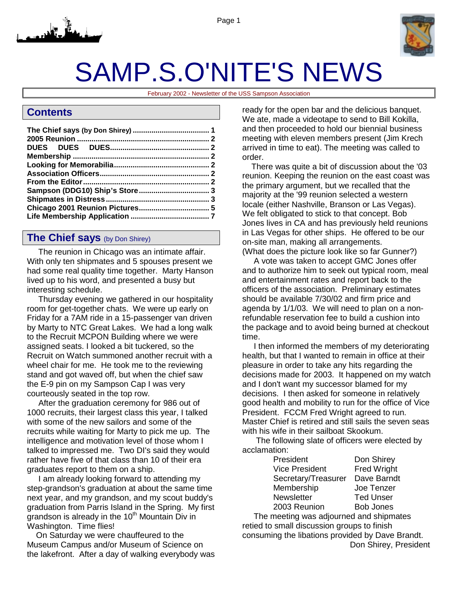



# SAMP.S.O'NITE'S NEWS

February 2002 - Newsletter of the USS Sampson Association

## **Contents**

## **The Chief says** (by Don Shirey)

 The reunion in Chicago was an intimate affair. With only ten shipmates and 5 spouses present we had some real quality time together. Marty Hanson lived up to his word, and presented a busy but interesting schedule.

 Thursday evening we gathered in our hospitality room for get-together chats. We were up early on Friday for a 7AM ride in a 15-passenger van driven by Marty to NTC Great Lakes. We had a long walk to the Recruit MCPON Building where we were assigned seats. I looked a bit tuckered, so the Recruit on Watch summoned another recruit with a wheel chair for me. He took me to the reviewing stand and got waved off, but when the chief saw the E-9 pin on my Sampson Cap I was very courteously seated in the top row.

 After the graduation ceremony for 986 out of 1000 recruits, their largest class this year, I talked with some of the new sailors and some of the recruits while waiting for Marty to pick me up. The intelligence and motivation level of those whom I talked to impressed me. Two DI's said they would rather have five of that class than 10 of their era graduates report to them on a ship.

 I am already looking forward to attending my step-grandson's graduation at about the same time next year, and my grandson, and my scout buddy's graduation from Parris Island in the Spring. My first grandson is already in the  $10<sup>th</sup>$  Mountain Div in Washington. Time flies!

 On Saturday we were chauffeured to the Museum Campus and/or Museum of Science on the lakefront. After a day of walking everybody was ready for the open bar and the delicious banquet. We ate, made a videotape to send to Bill Kokilla, and then proceeded to hold our biennial business meeting with eleven members present (Jim Krech arrived in time to eat). The meeting was called to order.

 There was quite a bit of discussion about the '03 reunion. Keeping the reunion on the east coast was the primary argument, but we recalled that the majority at the '99 reunion selected a western locale (either Nashville, Branson or Las Vegas). We felt obligated to stick to that concept. Bob Jones lives in CA and has previously held reunions in Las Vegas for other ships. He offered to be our on-site man, making all arrangements. (What does the picture look like so far Gunner?)

 A vote was taken to accept GMC Jones offer and to authorize him to seek out typical room, meal and entertainment rates and report back to the officers of the association. Preliminary estimates should be available 7/30/02 and firm price and agenda by 1/1/03. We will need to plan on a nonrefundable reservation fee to build a cushion into the package and to avoid being burned at checkout time.

 I then informed the members of my deteriorating health, but that I wanted to remain in office at their pleasure in order to take any hits regarding the decisions made for 2003. It happened on my watch and I don't want my successor blamed for my decisions. I then asked for someone in relatively good health and mobility to run for the office of Vice President. FCCM Fred Wright agreed to run. Master Chief is retired and still sails the seven seas with his wife in their sailboat Skookum.

 The following slate of officers were elected by acclamation:

> President Don Shirey Vice President Fred Wright Secretary/Treasurer Dave Barndt Membership Joe Tenzer Newsletter Ted Unser 2003 Reunion Bob Jones

 The meeting was adjourned and shipmates retied to small discussion groups to finish consuming the libations provided by Dave Brandt. Don Shirey, President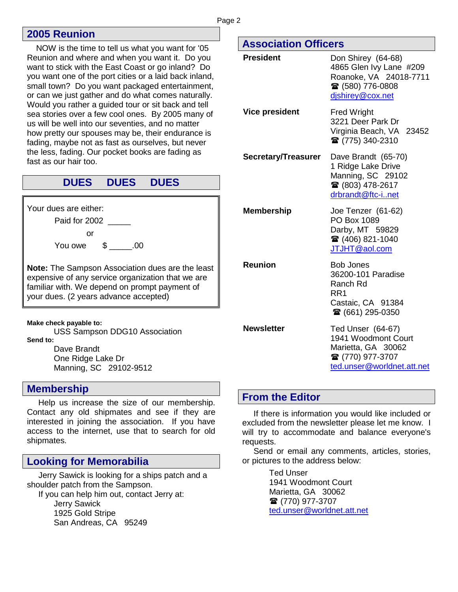## <span id="page-1-0"></span>**2005 Reunion**

 NOW is the time to tell us what you want for '05 Reunion and where and when you want it. Do you want to stick with the East Coast or go inland? Do you want one of the port cities or a laid back inland, small town? Do you want packaged entertainment, or can we just gather and do what comes naturally. Would you rather a guided tour or sit back and tell sea stories over a few cool ones. By 2005 many of us will be well into our seventies, and no matter how pretty our spouses may be, their endurance is fading, maybe not as fast as ourselves, but never the less, fading. Our pocket books are fading as fast as our hair too.

## **DUES DUES DUES**

Your dues are either:

Paid for 2002

or

You owe \$ .00

**Note:** The Sampson Association dues are the least expensive of any service organization that we are familiar with. We depend on prompt payment of your dues. (2 years advance accepted)

**Make check payable to:** 

 USS Sampson DDG10 Association **Send to:** 

 Dave Brandt One Ridge Lake Dr Manning, SC 29102-9512

## **Membership**

 Help us increase the size of our membership. Contact any old shipmates and see if they are interested in joining the association. If you have access to the internet, use that to search for old shipmates.

## **Looking for Memorabilia**

 Jerry Sawick is looking for a ships patch and a shoulder patch from the Sampson. If you can help him out, contact Jerry at:

> Jerry Sawick 1925 Gold Stripe San Andreas, CA 95249

## **Association Officers**

| <b>President</b>           | Don Shirey (64-68)<br>4865 Glen Ivy Lane #209<br>Roanoke, VA 24018-7711<br>☎ (580) 776-0808<br>dishirey@cox.net  |  |  |  |  |  |  |
|----------------------------|------------------------------------------------------------------------------------------------------------------|--|--|--|--|--|--|
| <b>Vice president</b>      | <b>Fred Wright</b><br>3221 Deer Park Dr<br>Virginia Beach, VA 23452<br>☎ (775) 340-2310                          |  |  |  |  |  |  |
| <b>Secretary/Treasurer</b> | Dave Brandt (65-70)<br>1 Ridge Lake Drive<br>Manning, SC 29102<br>☎ (803) 478-2617<br>drbrandt@ftc-inet          |  |  |  |  |  |  |
| <b>Membership</b>          | Joe Tenzer (61-62)<br>PO Box 1089<br>Darby, MT 59829<br>☎ (406) 821-1040<br>JTJHT@aol.com                        |  |  |  |  |  |  |
| <b>Reunion</b>             | <b>Bob Jones</b><br>36200-101 Paradise<br>Ranch Rd<br>RR1<br>Castaic, CA 91384<br>☎ (661) 295-0350               |  |  |  |  |  |  |
| <b>Newsletter</b>          | Ted Unser (64-67)<br>1941 Woodmont Court<br>Marietta, GA 30062<br>☎ (770) 977-3707<br>ted.unser@worldnet.att.net |  |  |  |  |  |  |

## **From the Editor**

 If there is information you would like included or excluded from the newsletter please let me know. I will try to accommodate and balance everyone's requests.

 Send or email any comments, articles, stories, or pictures to the address below:

> Ted Unser 1941 Woodmont Court Marietta, GA 30062 ■ (770) 977-3707 [ted.unser@worldnet.att.net](mailto:ted.unser@worldnet.att.net)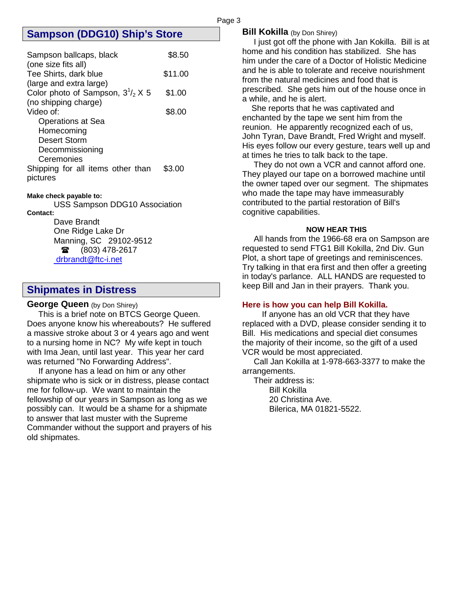## <span id="page-2-0"></span>**Sampson (DDG10) Ship's Store**

| Sampson ballcaps, black<br>(one size fits all)                      | \$8.50  |
|---------------------------------------------------------------------|---------|
| Tee Shirts, dark blue                                               | \$11.00 |
| (large and extra large)<br>Color photo of Sampson, $3^{1}/_{2}$ X 5 | \$1.00  |
| (no shipping charge)<br>Video of:                                   | \$8.00  |
| <b>Operations at Sea</b><br>Homecoming                              |         |
| Desert Storm<br>Decommissioning                                     |         |
| Ceremonies<br>Shipping for all items other than<br>pictures         | \$3.00  |

#### **Make check payable to:**

 USS Sampson DDG10 Association **Contact:** 

#### Dave Brandt

One Ridge Lake Dr Manning, SC 29102-9512  $\circ$  (803) 478-2617  [drbrandt@ftc-i.net](mailto:dr-bjbrandt@sumter.net) 

## **Shipmates in Distress**

#### **George Queen** (by Don Shirey)

 This is a brief note on BTCS George Queen. Does anyone know his whereabouts? He suffered a massive stroke about 3 or 4 years ago and went to a nursing home in NC? My wife kept in touch with Ima Jean, until last year. This year her card was returned "No Forwarding Address".

 If anyone has a lead on him or any other shipmate who is sick or in distress, please contact me for follow-up. We want to maintain the fellowship of our years in Sampson as long as we possibly can. It would be a shame for a shipmate to answer that last muster with the Supreme Commander without the support and prayers of his old shipmates.

#### **Bill Kokilla** (by Don Shirey)

Page 3

 I just got off the phone with Jan Kokilla. Bill is at home and his condition has stabilized. She has him under the care of a Doctor of Holistic Medicine and he is able to tolerate and receive nourishment from the natural medicines and food that is prescribed. She gets him out of the house once in a while, and he is alert.

 She reports that he was captivated and enchanted by the tape we sent him from the reunion. He apparently recognized each of us, John Tyran, Dave Brandt, Fred Wright and myself. His eyes follow our every gesture, tears well up and at times he tries to talk back to the tape.

 They do not own a VCR and cannot afford one. They played our tape on a borrowed machine until the owner taped over our segment. The shipmates who made the tape may have immeasurably contributed to the partial restoration of Bill's cognitive capabilities.

#### **NOW HEAR THIS**

 All hands from the 1966-68 era on Sampson are requested to send FTG1 Bill Kokilla, 2nd Div. Gun Plot, a short tape of greetings and reminiscences. Try talking in that era first and then offer a greeting in today's parlance. ALL HANDS are requested to keep Bill and Jan in their prayers. Thank you.

#### **Here is how you can help Bill Kokilla.**

 If anyone has an old VCR that they have replaced with a DVD, please consider sending it to Bill. His medications and special diet consumes the majority of their income, so the gift of a used VCR would be most appreciated.

 Call Jan Kokilla at 1-978-663-3377 to make the arrangements.

 Their address is: Bill Kokilla 20 Christina Ave. Bilerica, MA 01821-5522.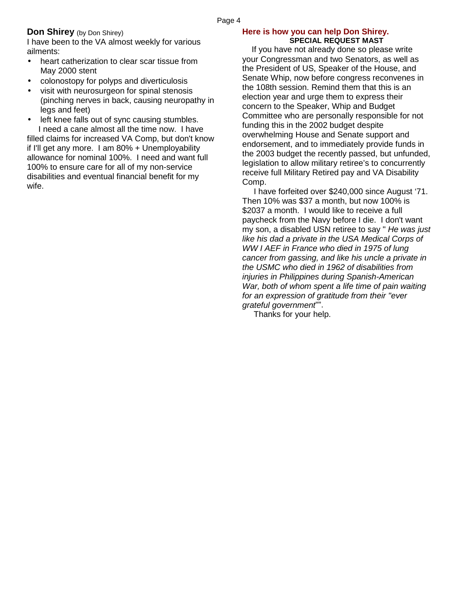#### Page 4

#### **Don Shirey** (by Don Shirey)

I have been to the VA almost weekly for various ailments:

- heart catherization to clear scar tissue from May 2000 stent
- colonostopy for polyps and diverticulosis
- visit with neurosurgeon for spinal stenosis (pinching nerves in back, causing neuropathy in legs and feet)
- left knee falls out of sync causing stumbles.

 I need a cane almost all the time now. I have filled claims for increased VA Comp, but don't know if I'll get any more. I am 80% + Unemployability allowance for nominal 100%. I need and want full 100% to ensure care for all of my non-service disabilities and eventual financial benefit for my wife.

#### **Here is how you can help Don Shirey. SPECIAL REQUEST MAST**

 If you have not already done so please write your Congressman and two Senators, as well as the President of US, Speaker of the House, and Senate Whip, now before congress reconvenes in the 108th session. Remind them that this is an election year and urge them to express their concern to the Speaker, Whip and Budget Committee who are personally responsible for not funding this in the 2002 budget despite overwhelming House and Senate support and endorsement, and to immediately provide funds in the 2003 budget the recently passed, but unfunded, legislation to allow military retiree's to concurrently receive full Military Retired pay and VA Disability Comp.

 I have forfeited over \$240,000 since August '71. Then 10% was \$37 a month, but now 100% is \$2037 a month. I would like to receive a full paycheck from the Navy before I die. I don't want my son, a disabled USN retiree to say " *He was just like his dad a private in the USA Medical Corps of WW I AEF in France who died in 1975 of lung cancer from gassing, and like his uncle a private in the USMC who died in 1962 of disabilities from injuries in Philippines during Spanish-American War, both of whom spent a life time of pain waiting for an expression of gratitude from their "ever grateful government*"".

Thanks for your help.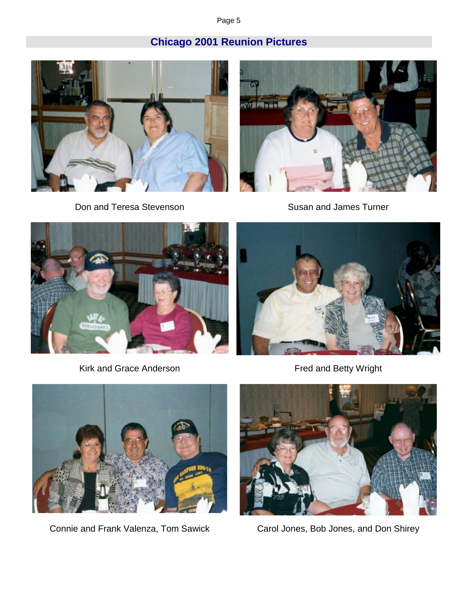Page 5

## **Chicago 2001 Reunion Pictures**

<span id="page-4-0"></span>

Don and Teresa Stevenson Susan and James Turner





Kirk and Grace Anderson **Figure 2018** Fred and Betty Wright







Connie and Frank Valenza, Tom Sawick Carol Jones, Bob Jones, and Don Shirey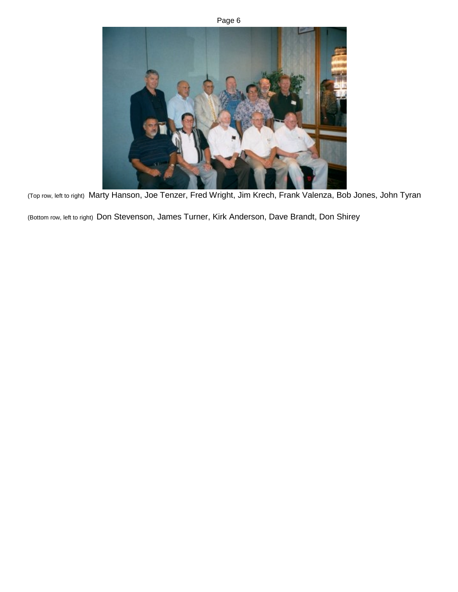



(Top row, left to right) Marty Hanson, Joe Tenzer, Fred Wright, Jim Krech, Frank Valenza, Bob Jones, John Tyran

(Bottom row, left to right) Don Stevenson, James Turner, Kirk Anderson, Dave Brandt, Don Shirey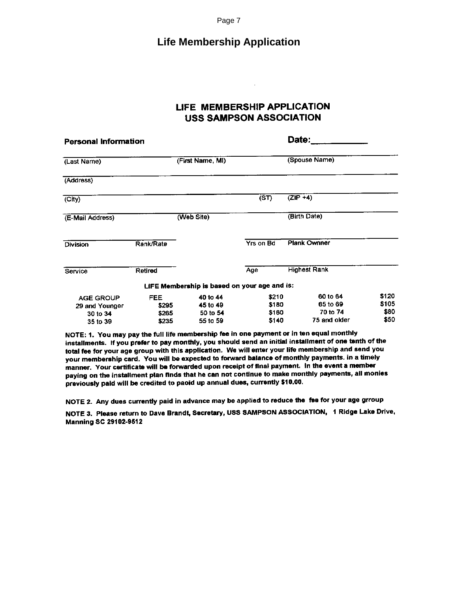Page 7

## **Life Membership Application**

## LIFE MEMBERSHIP APPLICATION **USS SAMPSON ASSOCIATION**

<span id="page-6-0"></span>

| <b>Personal Information</b>                                |                                 |                                              |                                  | Date:                                            |                                |
|------------------------------------------------------------|---------------------------------|----------------------------------------------|----------------------------------|--------------------------------------------------|--------------------------------|
| (Last Name)                                                |                                 | (First Name, MI)                             |                                  | (Spouse Name)                                    |                                |
| (Address)                                                  |                                 |                                              |                                  |                                                  |                                |
| (City)                                                     |                                 |                                              | (ST)                             | $(ZIP +4)$                                       |                                |
| (E-Mail Address)                                           |                                 | (Web Site)                                   |                                  | (Birth Date)                                     |                                |
| Division                                                   | Rank/Rate                       |                                              | Yrs on Bd                        | <b>Plank Ownner</b>                              |                                |
| Service                                                    | Retired                         |                                              | Age                              | <b>Highest Rank</b>                              |                                |
|                                                            |                                 | LIFE Membership is based on your age and is: |                                  |                                                  |                                |
| <b>AGE GROUP</b><br>29 and Younger<br>30 to 34<br>35 to 39 | FEE.<br>\$295<br>\$265<br>\$235 | 40 to 44<br>45 to 49<br>50 to 54<br>55 to 59 | \$210<br>\$180<br>\$160<br>\$140 | 60 to 64<br>65 to 69<br>70 to 74<br>75 and older | \$120<br>\$105<br>\$80<br>\$50 |

NOTE: 1. You may pay the full life membership fee in one payment or in ten equal monthly installments. If you prefer to pay monthly, you should send an initial installment of one tenth of the total fee for your age group with this application. We will enter your life membership and send you your membership card. You will be expected to forward balance of monthly payments. in a timely manner. Your certificate will be forwarded upon receipt of final payment. In the event a member paying on the installment plan finds that he can not continue to make monthly payments, all monies previously paid will be credited to paoid up annual dues, currently \$10.00.

NOTE 2. Any dues currently paid in advance may be applied to reduce the fee for your age grroup

NOTE 3. Please return to Dave Brandt, Secretary, USS SAMPSON ASSOCIATION, 1 Ridge Lake Drive, **Manning SC 29102-9512**